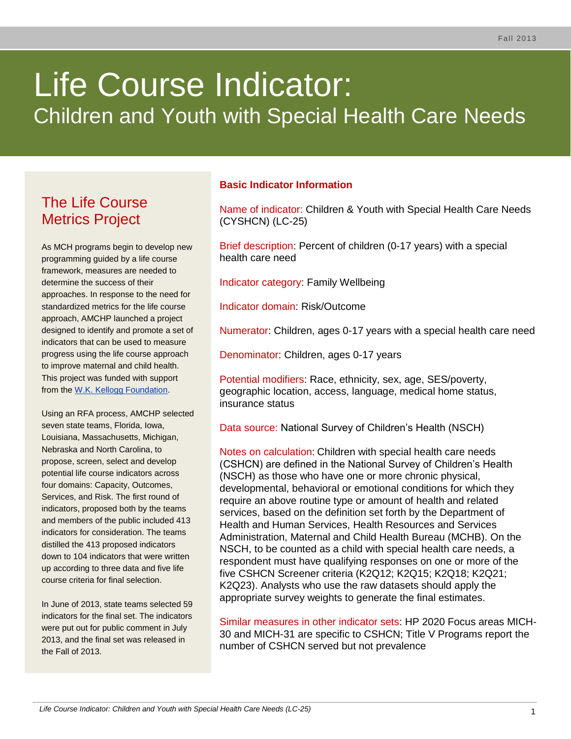# Life Course Indicator: Children and Youth with Special Health Care Needs

# The Life Course Metrics Project

As MCH programs begin to develop new programming guided by a life course framework, measures are needed to determine the success of their approaches. In response to the need for standardized metrics for the life course approach, AMCHP launched a project designed to identify and promote a set of indicators that can be used to measure progress using the life course approach to improve maternal and child health. This project was funded with support from the [W.K. Kellogg Foundation.](http://www.wkkf.org/)

Using an RFA process, AMCHP selected seven state teams, Florida, Iowa, Louisiana, Massachusetts, Michigan, Nebraska and North Carolina, to propose, screen, select and develop potential life course indicators across four domains: Capacity, Outcomes, Services, and Risk. The first round of indicators, proposed both by the teams and members of the public included 413 indicators for consideration. The teams distilled the 413 proposed indicators down to 104 indicators that were written up according to three data and five life course criteria for final selection.

In June of 2013, state teams selected 59 indicators for the final set. The indicators were put out for public comment in July 2013, and the final set was released in the Fall of 2013.

# **Basic Indicator Information**

Name of indicator: Children & Youth with Special Health Care Needs (CYSHCN) (LC-25)

Brief description: Percent of children (0-17 years) with a special health care need

Indicator category: Family Wellbeing

Indicator domain: Risk/Outcome

Numerator: Children, ages 0-17 years with a special health care need

Denominator: Children, ages 0-17 years

Potential modifiers: Race, ethnicity, sex, age, SES/poverty, geographic location, access, language, medical home status, insurance status

Data source: National Survey of Children's Health (NSCH)

Notes on calculation: Children with special health care needs (CSHCN) are defined in the National Survey of Children's Health (NSCH) as those who have one or more chronic physical, developmental, behavioral or emotional conditions for which they require an above routine type or amount of health and related services, based on the definition set forth by the Department of Health and Human Services, Health Resources and Services Administration, Maternal and Child Health Bureau (MCHB). On the NSCH, to be counted as a child with special health care needs, a respondent must have qualifying responses on one or more of the five CSHCN Screener criteria (K2Q12; K2Q15; K2Q18; K2Q21; K2Q23). Analysts who use the raw datasets should apply the appropriate survey weights to generate the final estimates.

Similar measures in other indicator sets: HP 2020 Focus areas MICH-30 and MICH-31 are specific to CSHCN; Title V Programs report the number of CSHCN served but not prevalence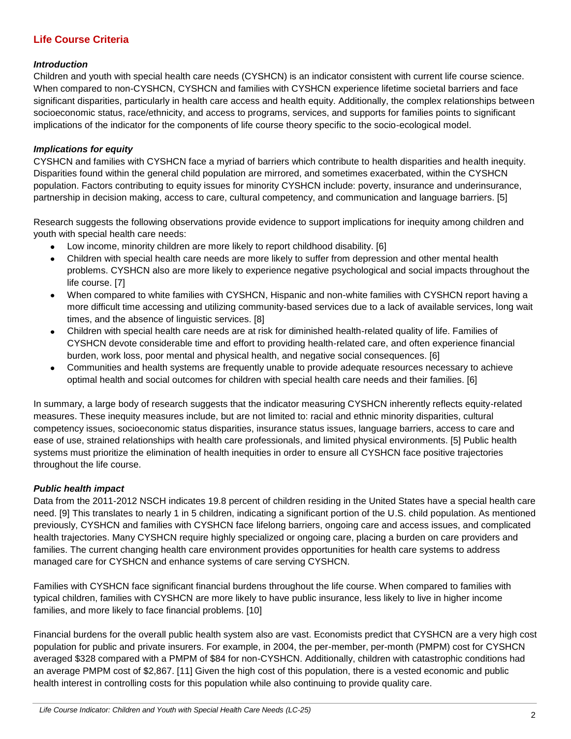## **Life Course Criteria**

#### *Introduction*

Children and youth with special health care needs (CYSHCN) is an indicator consistent with current life course science. When compared to non-CYSHCN, CYSHCN and families with CYSHCN experience lifetime societal barriers and face significant disparities, particularly in health care access and health equity. Additionally, the complex relationships between socioeconomic status, race/ethnicity, and access to programs, services, and supports for families points to significant implications of the indicator for the components of life course theory specific to the socio-ecological model.

#### *Implications for equity*

CYSHCN and families with CYSHCN face a myriad of barriers which contribute to health disparities and health inequity. Disparities found within the general child population are mirrored, and sometimes exacerbated, within the CYSHCN population. Factors contributing to equity issues for minority CYSHCN include: poverty, insurance and underinsurance, partnership in decision making, access to care, cultural competency, and communication and language barriers. [5]

Research suggests the following observations provide evidence to support implications for inequity among children and youth with special health care needs:

- Low income, minority children are more likely to report childhood disability. [6]
- Children with special health care needs are more likely to suffer from depression and other mental health problems. CYSHCN also are more likely to experience negative psychological and social impacts throughout the life course. [7]
- When compared to white families with CYSHCN, Hispanic and non-white families with CYSHCN report having a more difficult time accessing and utilizing community-based services due to a lack of available services, long wait times, and the absence of linguistic services. [8]
- Children with special health care needs are at risk for diminished health-related quality of life. Families of  $\bullet$ CYSHCN devote considerable time and effort to providing health-related care, and often experience financial burden, work loss, poor mental and physical health, and negative social consequences. [6]
- $\bullet$ Communities and health systems are frequently unable to provide adequate resources necessary to achieve optimal health and social outcomes for children with special health care needs and their families. [6]

In summary, a large body of research suggests that the indicator measuring CYSHCN inherently reflects equity-related measures. These inequity measures include, but are not limited to: racial and ethnic minority disparities, cultural competency issues, socioeconomic status disparities, insurance status issues, language barriers, access to care and ease of use, strained relationships with health care professionals, and limited physical environments. [5] Public health systems must prioritize the elimination of health inequities in order to ensure all CYSHCN face positive trajectories throughout the life course.

#### *Public health impact*

Data from the 2011-2012 NSCH indicates 19.8 percent of children residing in the United States have a special health care need. [9] This translates to nearly 1 in 5 children, indicating a significant portion of the U.S. child population. As mentioned previously, CYSHCN and families with CYSHCN face lifelong barriers, ongoing care and access issues, and complicated health trajectories. Many CYSHCN require highly specialized or ongoing care, placing a burden on care providers and families. The current changing health care environment provides opportunities for health care systems to address managed care for CYSHCN and enhance systems of care serving CYSHCN.

Families with CYSHCN face significant financial burdens throughout the life course. When compared to families with typical children, families with CYSHCN are more likely to have public insurance, less likely to live in higher income families, and more likely to face financial problems. [10]

Financial burdens for the overall public health system also are vast. Economists predict that CYSHCN are a very high cost population for public and private insurers. For example, in 2004, the per-member, per-month (PMPM) cost for CYSHCN averaged \$328 compared with a PMPM of \$84 for non-CYSHCN. Additionally, children with catastrophic conditions had an average PMPM cost of \$2,867. [11] Given the high cost of this population, there is a vested economic and public health interest in controlling costs for this population while also continuing to provide quality care.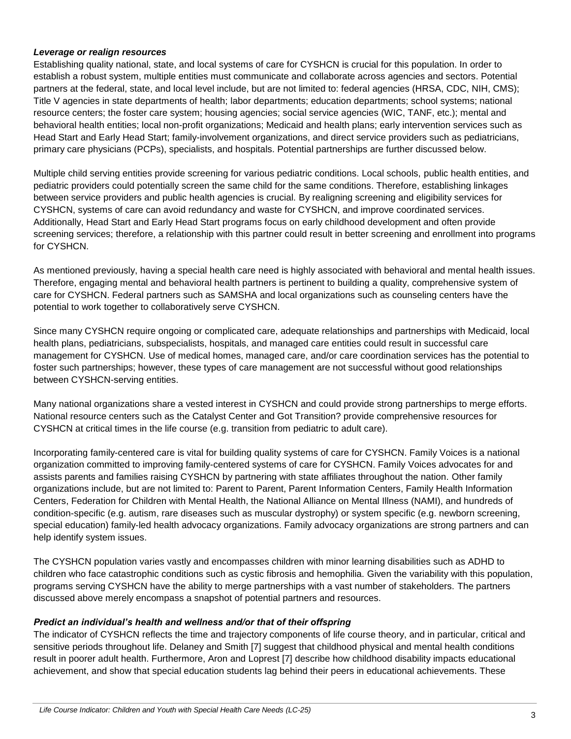#### *Leverage or realign resources*

Establishing quality national, state, and local systems of care for CYSHCN is crucial for this population. In order to establish a robust system, multiple entities must communicate and collaborate across agencies and sectors. Potential partners at the federal, state, and local level include, but are not limited to: federal agencies (HRSA, CDC, NIH, CMS); Title V agencies in state departments of health; labor departments; education departments; school systems; national resource centers; the foster care system; housing agencies; social service agencies (WIC, TANF, etc.); mental and behavioral health entities; local non-profit organizations; Medicaid and health plans; early intervention services such as Head Start and Early Head Start; family-involvement organizations, and direct service providers such as pediatricians, primary care physicians (PCPs), specialists, and hospitals. Potential partnerships are further discussed below.

Multiple child serving entities provide screening for various pediatric conditions. Local schools, public health entities, and pediatric providers could potentially screen the same child for the same conditions. Therefore, establishing linkages between service providers and public health agencies is crucial. By realigning screening and eligibility services for CYSHCN, systems of care can avoid redundancy and waste for CYSHCN, and improve coordinated services. Additionally, Head Start and Early Head Start programs focus on early childhood development and often provide screening services; therefore, a relationship with this partner could result in better screening and enrollment into programs for CYSHCN.

As mentioned previously, having a special health care need is highly associated with behavioral and mental health issues. Therefore, engaging mental and behavioral health partners is pertinent to building a quality, comprehensive system of care for CYSHCN. Federal partners such as SAMSHA and local organizations such as counseling centers have the potential to work together to collaboratively serve CYSHCN.

Since many CYSHCN require ongoing or complicated care, adequate relationships and partnerships with Medicaid, local health plans, pediatricians, subspecialists, hospitals, and managed care entities could result in successful care management for CYSHCN. Use of medical homes, managed care, and/or care coordination services has the potential to foster such partnerships; however, these types of care management are not successful without good relationships between CYSHCN-serving entities.

Many national organizations share a vested interest in CYSHCN and could provide strong partnerships to merge efforts. National resource centers such as the Catalyst Center and Got Transition? provide comprehensive resources for CYSHCN at critical times in the life course (e.g. transition from pediatric to adult care).

Incorporating family-centered care is vital for building quality systems of care for CYSHCN. Family Voices is a national organization committed to improving family-centered systems of care for CYSHCN. Family Voices advocates for and assists parents and families raising CYSHCN by partnering with state affiliates throughout the nation. Other family organizations include, but are not limited to: Parent to Parent, Parent Information Centers, Family Health Information Centers, Federation for Children with Mental Health, the National Alliance on Mental Illness (NAMI), and hundreds of condition-specific (e.g. autism, rare diseases such as muscular dystrophy) or system specific (e.g. newborn screening, special education) family-led health advocacy organizations. Family advocacy organizations are strong partners and can help identify system issues.

The CYSHCN population varies vastly and encompasses children with minor learning disabilities such as ADHD to children who face catastrophic conditions such as cystic fibrosis and hemophilia. Given the variability with this population, programs serving CYSHCN have the ability to merge partnerships with a vast number of stakeholders. The partners discussed above merely encompass a snapshot of potential partners and resources.

#### *Predict an individual's health and wellness and/or that of their offspring*

The indicator of CYSHCN reflects the time and trajectory components of life course theory, and in particular, critical and sensitive periods throughout life. Delaney and Smith [7] suggest that childhood physical and mental health conditions result in poorer adult health. Furthermore, Aron and Loprest [7] describe how childhood disability impacts educational achievement, and show that special education students lag behind their peers in educational achievements. These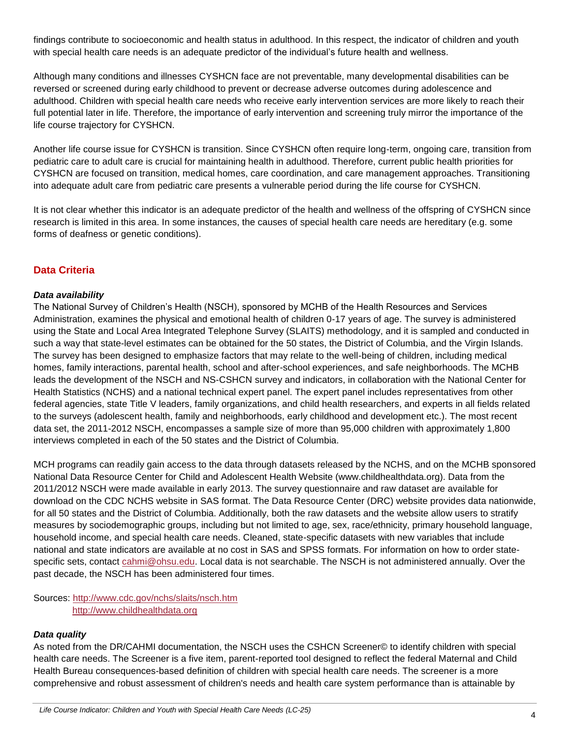findings contribute to socioeconomic and health status in adulthood. In this respect, the indicator of children and youth with special health care needs is an adequate predictor of the individual's future health and wellness.

Although many conditions and illnesses CYSHCN face are not preventable, many developmental disabilities can be reversed or screened during early childhood to prevent or decrease adverse outcomes during adolescence and adulthood. Children with special health care needs who receive early intervention services are more likely to reach their full potential later in life. Therefore, the importance of early intervention and screening truly mirror the importance of the life course trajectory for CYSHCN.

Another life course issue for CYSHCN is transition. Since CYSHCN often require long-term, ongoing care, transition from pediatric care to adult care is crucial for maintaining health in adulthood. Therefore, current public health priorities for CYSHCN are focused on transition, medical homes, care coordination, and care management approaches. Transitioning into adequate adult care from pediatric care presents a vulnerable period during the life course for CYSHCN.

It is not clear whether this indicator is an adequate predictor of the health and wellness of the offspring of CYSHCN since research is limited in this area. In some instances, the causes of special health care needs are hereditary (e.g. some forms of deafness or genetic conditions).

### **Data Criteria**

#### *Data availability*

The National Survey of Children's Health (NSCH), sponsored by MCHB of the Health Resources and Services Administration, examines the physical and emotional health of children 0-17 years of age. The survey is administered using the State and Local Area Integrated Telephone Survey (SLAITS) methodology, and it is sampled and conducted in such a way that state-level estimates can be obtained for the 50 states, the District of Columbia, and the Virgin Islands. The survey has been designed to emphasize factors that may relate to the well-being of children, including medical homes, family interactions, parental health, school and after-school experiences, and safe neighborhoods. The MCHB leads the development of the NSCH and NS-CSHCN survey and indicators, in collaboration with the National Center for Health Statistics (NCHS) and a national technical expert panel. The expert panel includes representatives from other federal agencies, state Title V leaders, family organizations, and child health researchers, and experts in all fields related to the surveys (adolescent health, family and neighborhoods, early childhood and development etc.). The most recent data set, the 2011-2012 NSCH, encompasses a sample size of more than 95,000 children with approximately 1,800 interviews completed in each of the 50 states and the District of Columbia.

MCH programs can readily gain access to the data through datasets released by the NCHS, and on the MCHB sponsored National Data Resource Center for Child and Adolescent Health Website (www.childhealthdata.org). Data from the 2011/2012 NSCH were made available in early 2013. The survey questionnaire and raw dataset are available for download on the CDC NCHS website in SAS format. The Data Resource Center (DRC) website provides data nationwide, for all 50 states and the District of Columbia. Additionally, both the raw datasets and the website allow users to stratify measures by sociodemographic groups, including but not limited to age, sex, race/ethnicity, primary household language, household income, and special health care needs. Cleaned, state-specific datasets with new variables that include national and state indicators are available at no cost in SAS and SPSS formats. For information on how to order statespecific sets, contact [cahmi@ohsu.edu.](mailto:cahmi@ohsu.edu) Local data is not searchable. The NSCH is not administered annually. Over the past decade, the NSCH has been administered four times.

Sources:<http://www.cdc.gov/nchs/slaits/nsch.htm> [http://www.childhealthdata.org](http://www.childhealthdata.org/)

#### *Data quality*

As noted from the DR/CAHMI documentation, the NSCH uses the CSHCN Screener© to identify children with special health care needs. The Screener is a five item, parent-reported tool designed to reflect the federal Maternal and Child Health Bureau consequences-based definition of children with special health care needs. The screener is a more comprehensive and robust assessment of children's needs and health care system performance than is attainable by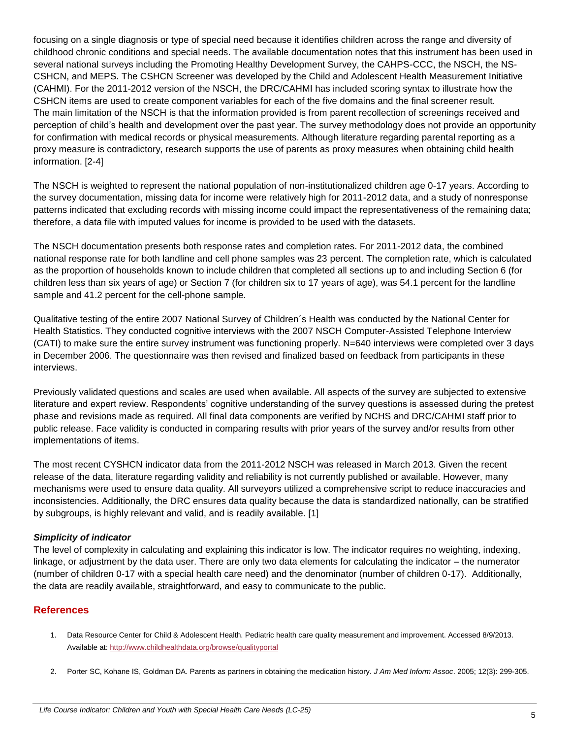focusing on a single diagnosis or type of special need because it identifies children across the range and diversity of childhood chronic conditions and special needs. The available documentation notes that this instrument has been used in several national surveys including the Promoting Healthy Development Survey, the CAHPS-CCC, the NSCH, the NS-CSHCN, and MEPS. The CSHCN Screener was developed by the Child and Adolescent Health Measurement Initiative (CAHMI). For the 2011-2012 version of the NSCH, the DRC/CAHMI has included scoring syntax to illustrate how the CSHCN items are used to create component variables for each of the five domains and the final screener result. The main limitation of the NSCH is that the information provided is from parent recollection of screenings received and perception of child's health and development over the past year. The survey methodology does not provide an opportunity for confirmation with medical records or physical measurements. Although literature regarding parental reporting as a proxy measure is contradictory, research supports the use of parents as proxy measures when obtaining child health information. [2-4]

The NSCH is weighted to represent the national population of non-institutionalized children age 0-17 years. According to the survey documentation, missing data for income were relatively high for 2011-2012 data, and a study of nonresponse patterns indicated that excluding records with missing income could impact the representativeness of the remaining data; therefore, a data file with imputed values for income is provided to be used with the datasets.

The NSCH documentation presents both response rates and completion rates. For 2011-2012 data, the combined national response rate for both landline and cell phone samples was 23 percent. The completion rate, which is calculated as the proportion of households known to include children that completed all sections up to and including Section 6 (for children less than six years of age) or Section 7 (for children six to 17 years of age), was 54.1 percent for the landline sample and 41.2 percent for the cell-phone sample.

Qualitative testing of the entire 2007 National Survey of Children´s Health was conducted by the National Center for Health Statistics. They conducted cognitive interviews with the 2007 NSCH Computer-Assisted Telephone Interview (CATI) to make sure the entire survey instrument was functioning properly. N=640 interviews were completed over 3 days in December 2006. The questionnaire was then revised and finalized based on feedback from participants in these interviews.

Previously validated questions and scales are used when available. All aspects of the survey are subjected to extensive literature and expert review. Respondents' cognitive understanding of the survey questions is assessed during the pretest phase and revisions made as required. All final data components are verified by NCHS and DRC/CAHMI staff prior to public release. Face validity is conducted in comparing results with prior years of the survey and/or results from other implementations of items.

The most recent CYSHCN indicator data from the 2011-2012 NSCH was released in March 2013. Given the recent release of the data, literature regarding validity and reliability is not currently published or available. However, many mechanisms were used to ensure data quality. All surveyors utilized a comprehensive script to reduce inaccuracies and inconsistencies. Additionally, the DRC ensures data quality because the data is standardized nationally, can be stratified by subgroups, is highly relevant and valid, and is readily available. [1]

#### *Simplicity of indicator*

The level of complexity in calculating and explaining this indicator is low. The indicator requires no weighting, indexing, linkage, or adjustment by the data user. There are only two data elements for calculating the indicator – the numerator (number of children 0-17 with a special health care need) and the denominator (number of children 0-17). Additionally, the data are readily available, straightforward, and easy to communicate to the public.

#### **References**

- 1. Data Resource Center for Child & Adolescent Health. Pediatric health care quality measurement and improvement. Accessed 8/9/2013. Available at:<http://www.childhealthdata.org/browse/qualityportal>
- 2. Porter SC, Kohane IS, Goldman DA. Parents as partners in obtaining the medication history. *J Am Med Inform Assoc*. 2005; 12(3): 299-305.